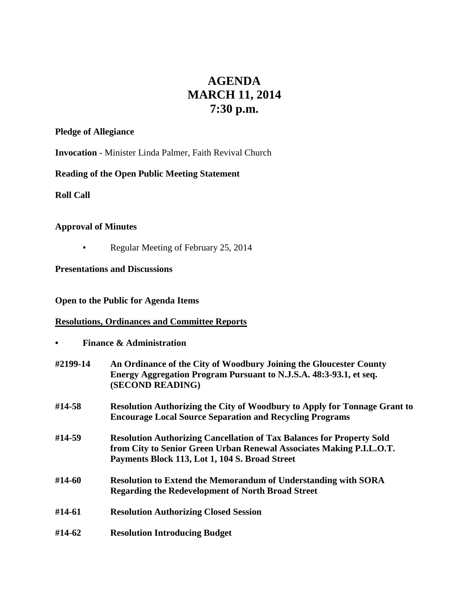# **AGENDA MARCH 11, 2014 7:30 p.m.**

## **Pledge of Allegiance**

**Invocation** - Minister Linda Palmer, Faith Revival Church

# **Reading of the Open Public Meeting Statement**

**Roll Call**

### **Approval of Minutes**

**•** Regular Meeting of February 25, 2014

# **Presentations and Discussions**

## **Open to the Public for Agenda Items**

# **Resolutions, Ordinances and Committee Reports**

**• Finance & Administration**

| #2199-14 | An Ordinance of the City of Woodbury Joining the Gloucester County<br>Energy Aggregation Program Pursuant to N.J.S.A. 48:3-93.1, et seq.<br>(SECOND READING)                                           |
|----------|--------------------------------------------------------------------------------------------------------------------------------------------------------------------------------------------------------|
| #14-58   | <b>Resolution Authorizing the City of Woodbury to Apply for Tonnage Grant to</b><br><b>Encourage Local Source Separation and Recycling Programs</b>                                                    |
| #14-59   | <b>Resolution Authorizing Cancellation of Tax Balances for Property Sold</b><br>from City to Senior Green Urban Renewal Associates Making P.I.L.O.T.<br>Payments Block 113, Lot 1, 104 S. Broad Street |
| #14-60   | <b>Resolution to Extend the Memorandum of Understanding with SORA</b><br><b>Regarding the Redevelopment of North Broad Street</b>                                                                      |
| #14-61   | <b>Resolution Authorizing Closed Session</b>                                                                                                                                                           |
| #14-62   | <b>Resolution Introducing Budget</b>                                                                                                                                                                   |